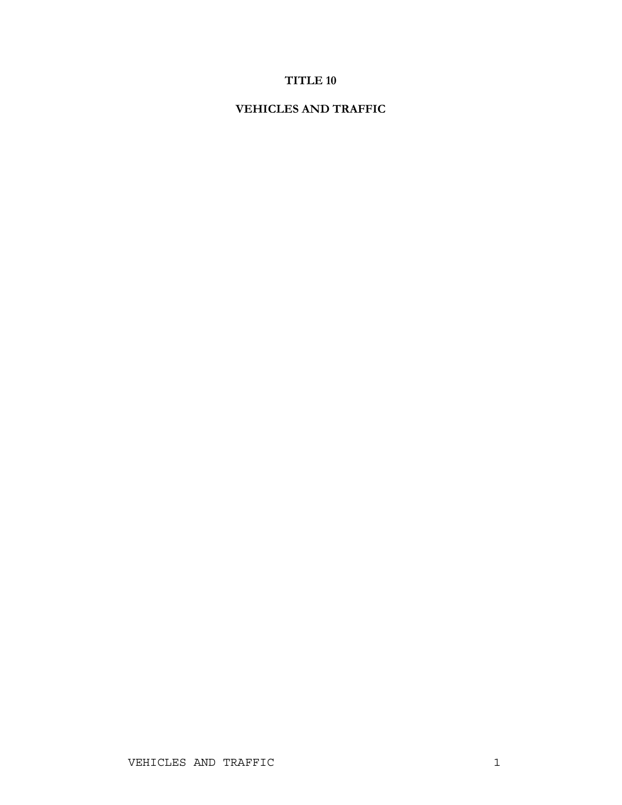# **TITLE 10**

# **VEHICLES AND TRAFFIC**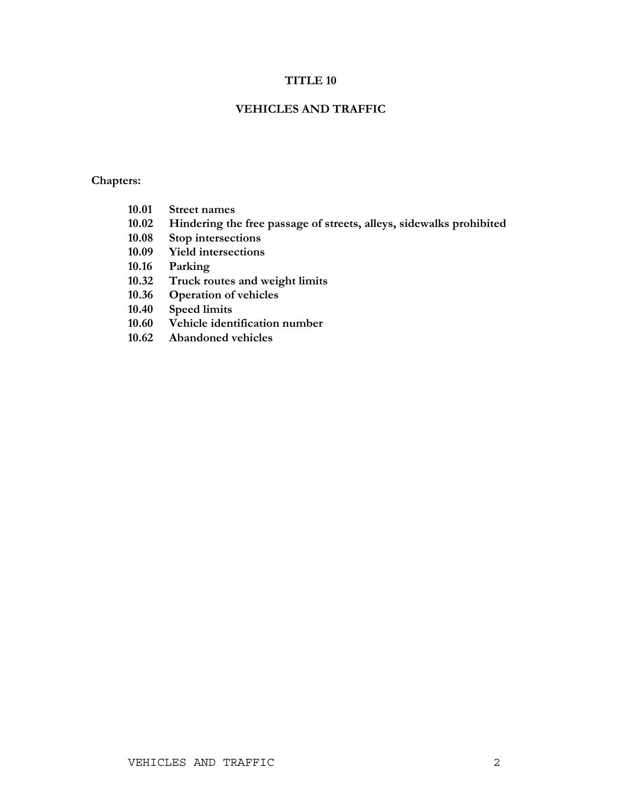# **TITLE 10**

# **VEHICLES AND TRAFFIC**

# **Chapters:**

| 10.01 | <b>Street names</b>                                                 |
|-------|---------------------------------------------------------------------|
| 10.02 | Hindering the free passage of streets, alleys, sidewalks prohibited |
| 10.08 | Stop intersections                                                  |
| 10.09 | <b>Yield intersections</b>                                          |
| 10.16 | Parking                                                             |
| 10.32 | Truck routes and weight limits                                      |
| 10.36 | <b>Operation of vehicles</b>                                        |
| 10.40 | <b>Speed limits</b>                                                 |
| 10.60 | Vehicle identification number                                       |
| 10.62 | Abandoned vehicles                                                  |
|       |                                                                     |
|       |                                                                     |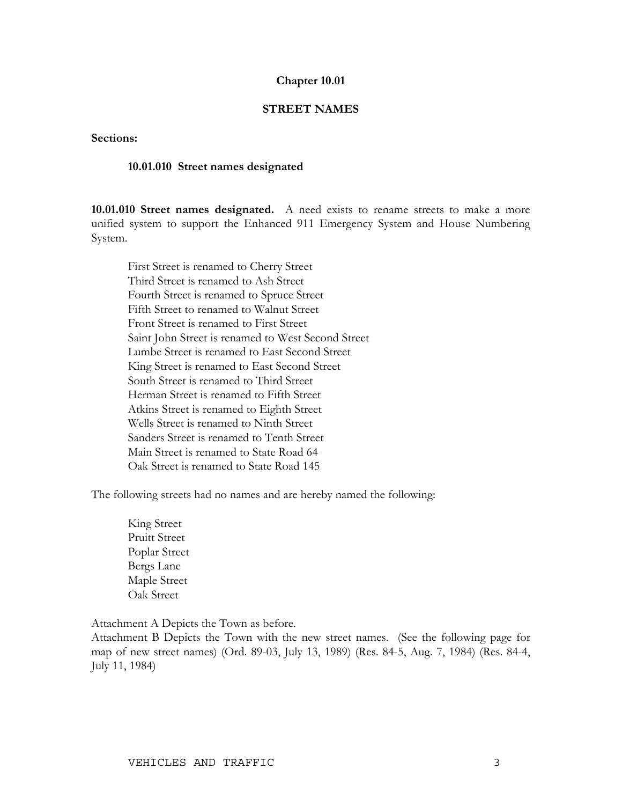# **STREET NAMES**

**Sections:** 

#### **10.01.010 Street names designated**

**10.01.010 Street names designated.** A need exists to rename streets to make a more unified system to support the Enhanced 911 Emergency System and House Numbering System.

| First Street is renamed to Cherry Street           |
|----------------------------------------------------|
| Third Street is renamed to Ash Street              |
| Fourth Street is renamed to Spruce Street          |
| Fifth Street to renamed to Walnut Street           |
| Front Street is renamed to First Street            |
| Saint John Street is renamed to West Second Street |
| Lumbe Street is renamed to East Second Street      |
| King Street is renamed to East Second Street       |
| South Street is renamed to Third Street            |
| Herman Street is renamed to Fifth Street           |
| Atkins Street is renamed to Eighth Street          |
| Wells Street is renamed to Ninth Street            |
| Sanders Street is renamed to Tenth Street          |
| Main Street is renamed to State Road 64            |
| Oak Street is renamed to State Road 145            |

The following streets had no names and are hereby named the following:

King Street Pruitt Street Poplar Street Bergs Lane Maple Street Oak Street

Attachment A Depicts the Town as before.

Attachment B Depicts the Town with the new street names. (See the following page for map of new street names) (Ord. 89-03, July 13, 1989) (Res. 84-5, Aug. 7, 1984) (Res. 84-4, July 11, 1984)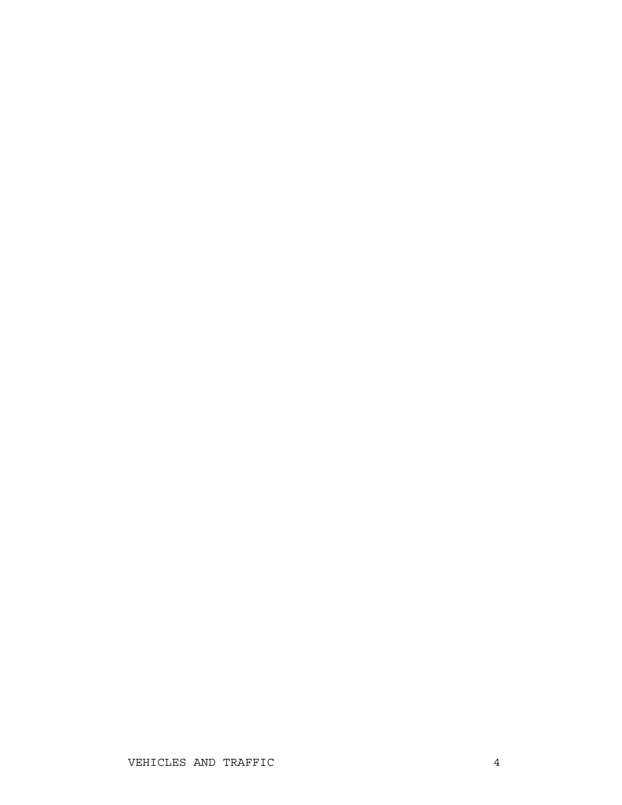VEHICLES AND TRAFFIC 4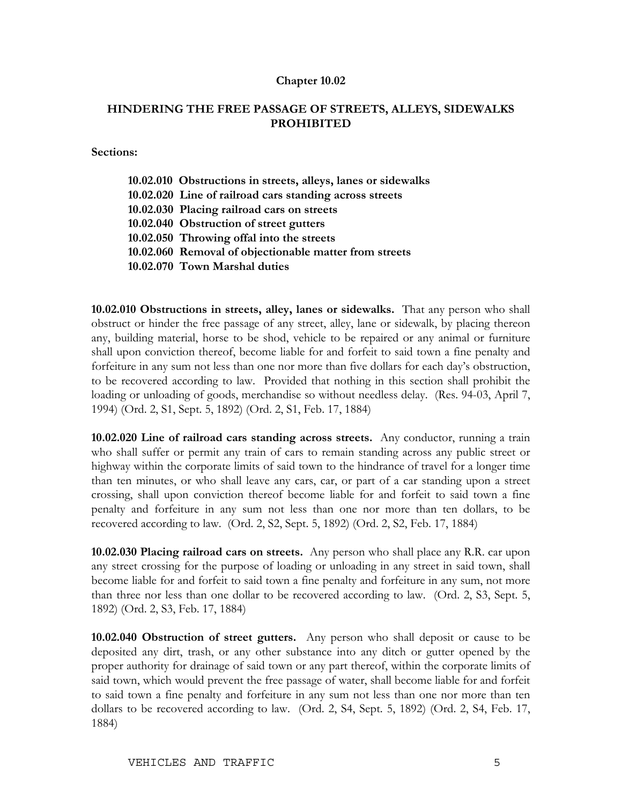# **HINDERING THE FREE PASSAGE OF STREETS, ALLEYS, SIDEWALKS PROHIBITED**

**Sections:** 

|  | 10.02.010 Obstructions in streets, alleys, lanes or sidewalks |  |  |  |  |
|--|---------------------------------------------------------------|--|--|--|--|
|--|---------------------------------------------------------------|--|--|--|--|

- **10.02.020 Line of railroad cars standing across streets**
- **10.02.030 Placing railroad cars on streets**
- **10.02.040 Obstruction of street gutters**
- **10.02.050 Throwing offal into the streets**
- **10.02.060 Removal of objectionable matter from streets**
- **10.02.070 Town Marshal duties**

**10.02.010 Obstructions in streets, alley, lanes or sidewalks.** That any person who shall obstruct or hinder the free passage of any street, alley, lane or sidewalk, by placing thereon any, building material, horse to be shod, vehicle to be repaired or any animal or furniture shall upon conviction thereof, become liable for and forfeit to said town a fine penalty and forfeiture in any sum not less than one nor more than five dollars for each day's obstruction, to be recovered according to law. Provided that nothing in this section shall prohibit the loading or unloading of goods, merchandise so without needless delay. (Res. 94-03, April 7, 1994) (Ord. 2, S1, Sept. 5, 1892) (Ord. 2, S1, Feb. 17, 1884)

**10.02.020 Line of railroad cars standing across streets.** Any conductor, running a train who shall suffer or permit any train of cars to remain standing across any public street or highway within the corporate limits of said town to the hindrance of travel for a longer time than ten minutes, or who shall leave any cars, car, or part of a car standing upon a street crossing, shall upon conviction thereof become liable for and forfeit to said town a fine penalty and forfeiture in any sum not less than one nor more than ten dollars, to be recovered according to law. (Ord. 2, S2, Sept. 5, 1892) (Ord. 2, S2, Feb. 17, 1884)

**10.02.030 Placing railroad cars on streets.** Any person who shall place any R.R. car upon any street crossing for the purpose of loading or unloading in any street in said town, shall become liable for and forfeit to said town a fine penalty and forfeiture in any sum, not more than three nor less than one dollar to be recovered according to law. (Ord. 2, S3, Sept. 5, 1892) (Ord. 2, S3, Feb. 17, 1884)

**10.02.040 Obstruction of street gutters.** Any person who shall deposit or cause to be deposited any dirt, trash, or any other substance into any ditch or gutter opened by the proper authority for drainage of said town or any part thereof, within the corporate limits of said town, which would prevent the free passage of water, shall become liable for and forfeit to said town a fine penalty and forfeiture in any sum not less than one nor more than ten dollars to be recovered according to law. (Ord. 2, S4, Sept. 5, 1892) (Ord. 2, S4, Feb. 17, 1884)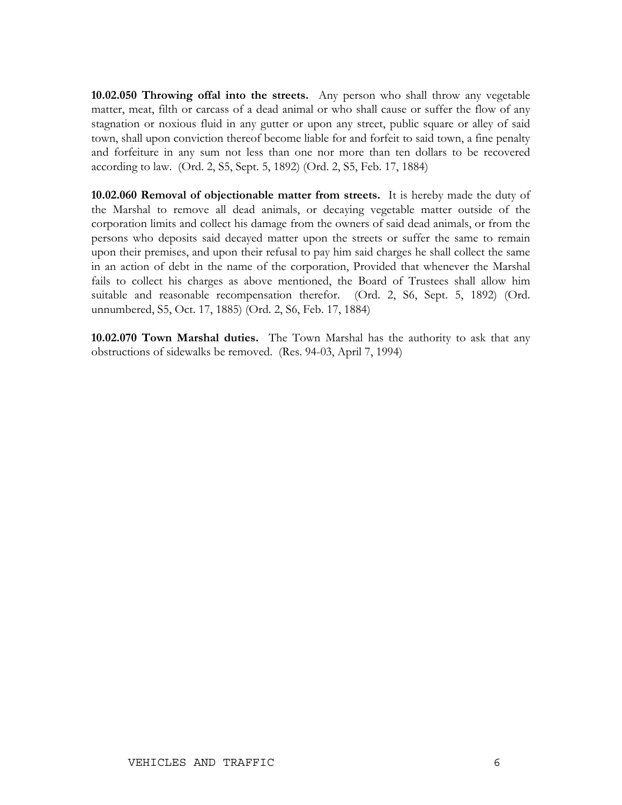**10.02.050 Throwing offal into the streets.** Any person who shall throw any vegetable matter, meat, filth or carcass of a dead animal or who shall cause or suffer the flow of any stagnation or noxious fluid in any gutter or upon any street, public square or alley of said town, shall upon conviction thereof become liable for and forfeit to said town, a fine penalty and forfeiture in any sum not less than one nor more than ten dollars to be recovered according to law. (Ord. 2, S5, Sept. 5, 1892) (Ord. 2, S5, Feb. 17, 1884)

**10.02.060 Removal of objectionable matter from streets.** It is hereby made the duty of the Marshal to remove all dead animals, or decaying vegetable matter outside of the corporation limits and collect his damage from the owners of said dead animals, or from the persons who deposits said decayed matter upon the streets or suffer the same to remain upon their premises, and upon their refusal to pay him said charges he shall collect the same in an action of debt in the name of the corporation, Provided that whenever the Marshal fails to collect his charges as above mentioned, the Board of Trustees shall allow him suitable and reasonable recompensation therefor. (Ord. 2, S6, Sept. 5, 1892) (Ord. unnumbered, S5, Oct. 17, 1885) (Ord. 2, S6, Feb. 17, 1884)

**10.02.070 Town Marshal duties.** The Town Marshal has the authority to ask that any obstructions of sidewalks be removed. (Res. 94-03, April 7, 1994)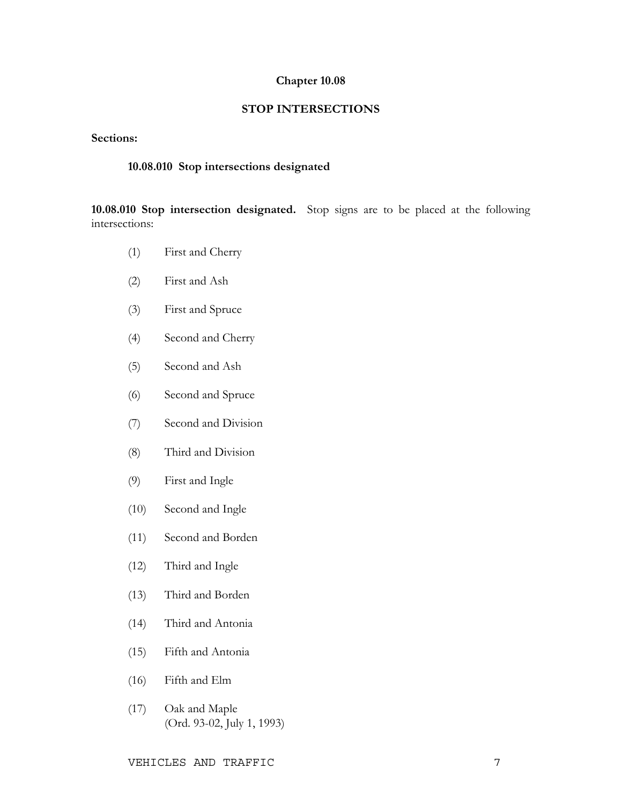# **STOP INTERSECTIONS**

#### **Sections:**

#### **10.08.010 Stop intersections designated**

**10.08.010 Stop intersection designated.** Stop signs are to be placed at the following intersections:

- (1) First and Cherry
- (2) First and Ash
- (3) First and Spruce
- (4) Second and Cherry
- (5) Second and Ash
- (6) Second and Spruce
- (7) Second and Division
- (8) Third and Division
- (9) First and Ingle
- (10) Second and Ingle
- (11) Second and Borden
- (12) Third and Ingle
- (13) Third and Borden
- (14) Third and Antonia
- (15) Fifth and Antonia
- (16) Fifth and Elm
- (17) Oak and Maple (Ord. 93-02, July 1, 1993)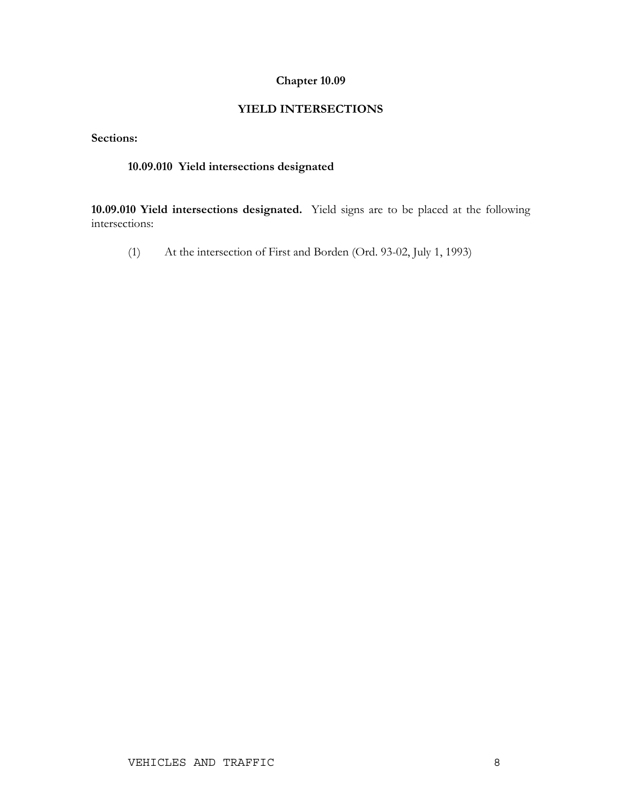# **YIELD INTERSECTIONS**

**Sections:** 

# **10.09.010 Yield intersections designated**

**10.09.010 Yield intersections designated.** Yield signs are to be placed at the following intersections:

(1) At the intersection of First and Borden (Ord. 93-02, July 1, 1993)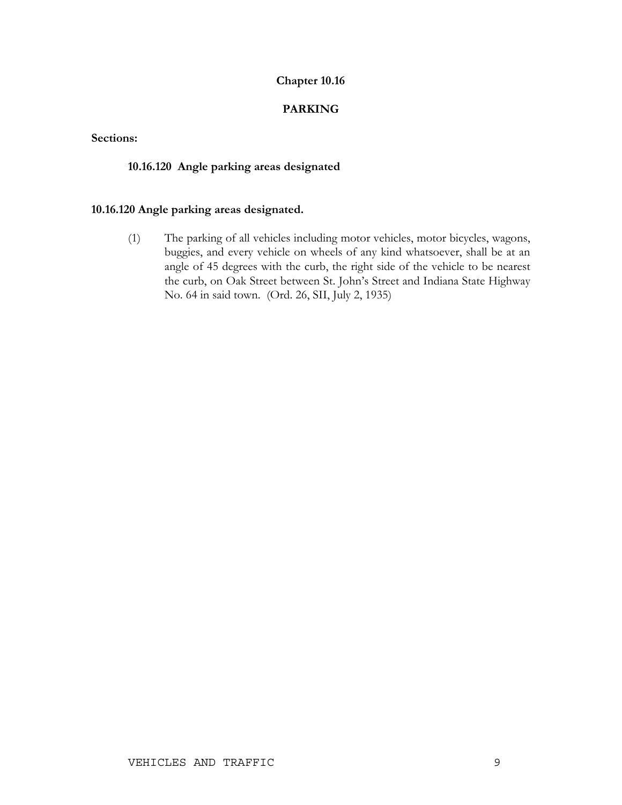# **PARKING**

### **Sections:**

#### **10.16.120 Angle parking areas designated**

#### **10.16.120 Angle parking areas designated.**

(1) The parking of all vehicles including motor vehicles, motor bicycles, wagons, buggies, and every vehicle on wheels of any kind whatsoever, shall be at an angle of 45 degrees with the curb, the right side of the vehicle to be nearest the curb, on Oak Street between St. John's Street and Indiana State Highway No. 64 in said town. (Ord. 26, SII, July 2, 1935)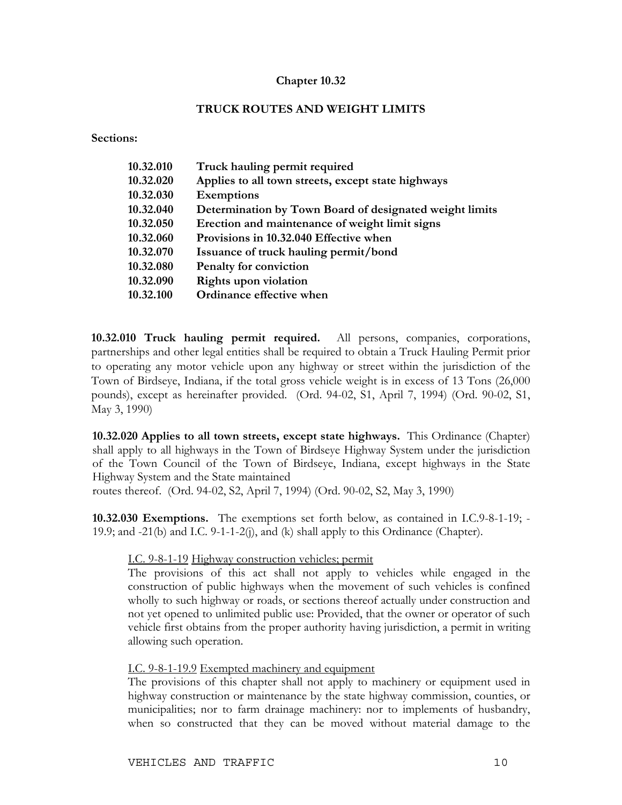# **TRUCK ROUTES AND WEIGHT LIMITS**

**Sections:** 

| 10.32.010 | Truck hauling permit required                           |
|-----------|---------------------------------------------------------|
| 10.32.020 | Applies to all town streets, except state highways      |
| 10.32.030 | <b>Exemptions</b>                                       |
| 10.32.040 | Determination by Town Board of designated weight limits |
| 10.32.050 | Erection and maintenance of weight limit signs          |
| 10.32.060 | Provisions in 10.32.040 Effective when                  |
| 10.32.070 | Issuance of truck hauling permit/bond                   |
| 10.32.080 | Penalty for conviction                                  |
| 10.32.090 | Rights upon violation                                   |
| 10.32.100 | Ordinance effective when                                |
|           |                                                         |

**10.32.010 Truck hauling permit required.** All persons, companies, corporations, partnerships and other legal entities shall be required to obtain a Truck Hauling Permit prior to operating any motor vehicle upon any highway or street within the jurisdiction of the Town of Birdseye, Indiana, if the total gross vehicle weight is in excess of 13 Tons (26,000 pounds), except as hereinafter provided. (Ord. 94-02, S1, April 7, 1994) (Ord. 90-02, S1, May 3, 1990)

**10.32.020 Applies to all town streets, except state highways.** This Ordinance (Chapter) shall apply to all highways in the Town of Birdseye Highway System under the jurisdiction of the Town Council of the Town of Birdseye, Indiana, except highways in the State Highway System and the State maintained

routes thereof. (Ord. 94-02, S2, April 7, 1994) (Ord. 90-02, S2, May 3, 1990)

**10.32.030 Exemptions.** The exemptions set forth below, as contained in I.C.9-8-1-19; - 19.9; and -21(b) and I.C. 9-1-1-2(j), and (k) shall apply to this Ordinance (Chapter).

#### I.C. 9-8-1-19 Highway construction vehicles; permit

The provisions of this act shall not apply to vehicles while engaged in the construction of public highways when the movement of such vehicles is confined wholly to such highway or roads, or sections thereof actually under construction and not yet opened to unlimited public use: Provided, that the owner or operator of such vehicle first obtains from the proper authority having jurisdiction, a permit in writing allowing such operation.

#### I.C. 9-8-1-19.9 Exempted machinery and equipment

The provisions of this chapter shall not apply to machinery or equipment used in highway construction or maintenance by the state highway commission, counties, or municipalities; nor to farm drainage machinery: nor to implements of husbandry, when so constructed that they can be moved without material damage to the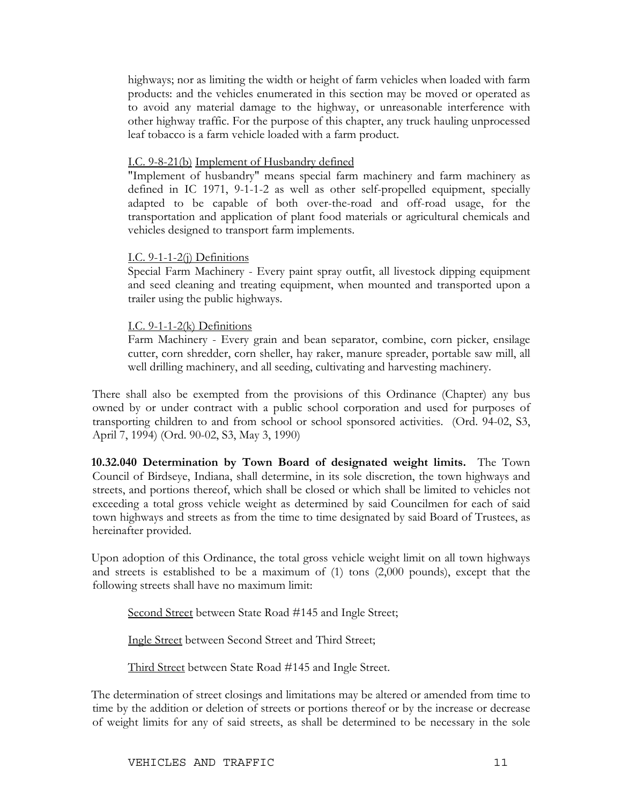highways; nor as limiting the width or height of farm vehicles when loaded with farm products: and the vehicles enumerated in this section may be moved or operated as to avoid any material damage to the highway, or unreasonable interference with other highway traffic. For the purpose of this chapter, any truck hauling unprocessed leaf tobacco is a farm vehicle loaded with a farm product.

### I.C. 9-8-21(b) Implement of Husbandry defined

"Implement of husbandry" means special farm machinery and farm machinery as defined in IC 1971, 9-1-1-2 as well as other self-propelled equipment, specially adapted to be capable of both over-the-road and off-road usage, for the transportation and application of plant food materials or agricultural chemicals and vehicles designed to transport farm implements.

### I.C.  $9-1-1-2(i)$  Definitions

Special Farm Machinery - Every paint spray outfit, all livestock dipping equipment and seed cleaning and treating equipment, when mounted and transported upon a trailer using the public highways.

### I.C. 9-1-1-2(k) Definitions

Farm Machinery - Every grain and bean separator, combine, corn picker, ensilage cutter, corn shredder, corn sheller, hay raker, manure spreader, portable saw mill, all well drilling machinery, and all seeding, cultivating and harvesting machinery.

There shall also be exempted from the provisions of this Ordinance (Chapter) any bus owned by or under contract with a public school corporation and used for purposes of transporting children to and from school or school sponsored activities. (Ord. 94-02, S3, April 7, 1994) (Ord. 90-02, S3, May 3, 1990)

**10.32.040 Determination by Town Board of designated weight limits.** The Town Council of Birdseye, Indiana, shall determine, in its sole discretion, the town highways and streets, and portions thereof, which shall be closed or which shall be limited to vehicles not exceeding a total gross vehicle weight as determined by said Councilmen for each of said town highways and streets as from the time to time designated by said Board of Trustees, as hereinafter provided.

Upon adoption of this Ordinance, the total gross vehicle weight limit on all town highways and streets is established to be a maximum of (1) tons (2,000 pounds), except that the following streets shall have no maximum limit:

Second Street between State Road #145 and Ingle Street;

Ingle Street between Second Street and Third Street;

Third Street between State Road #145 and Ingle Street.

The determination of street closings and limitations may be altered or amended from time to time by the addition or deletion of streets or portions thereof or by the increase or decrease of weight limits for any of said streets, as shall be determined to be necessary in the sole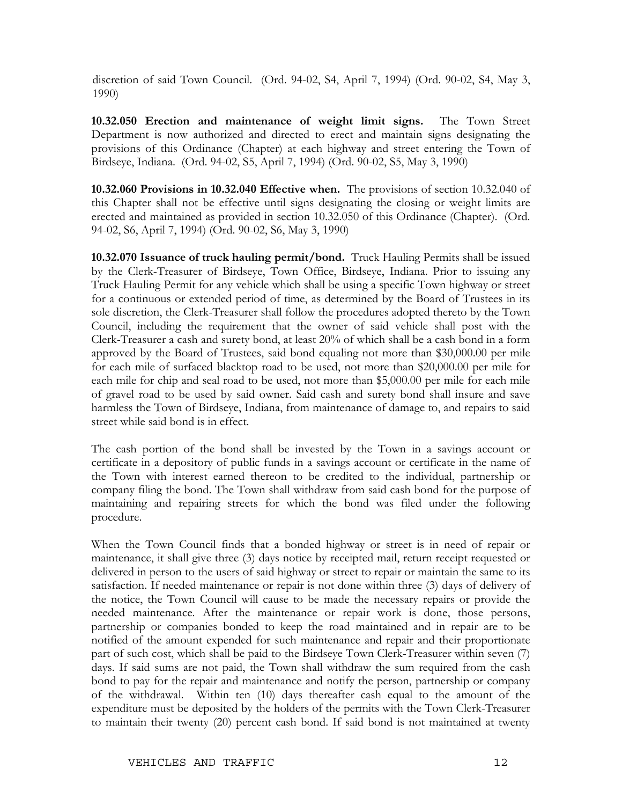discretion of said Town Council. (Ord. 94-02, S4, April 7, 1994) (Ord. 90-02, S4, May 3, 1990)

**10.32.050 Erection and maintenance of weight limit signs.** The Town Street Department is now authorized and directed to erect and maintain signs designating the provisions of this Ordinance (Chapter) at each highway and street entering the Town of Birdseye, Indiana. (Ord. 94-02, S5, April 7, 1994) (Ord. 90-02, S5, May 3, 1990)

**10.32.060 Provisions in 10.32.040 Effective when.** The provisions of section 10.32.040 of this Chapter shall not be effective until signs designating the closing or weight limits are erected and maintained as provided in section 10.32.050 of this Ordinance (Chapter). (Ord. 94-02, S6, April 7, 1994) (Ord. 90-02, S6, May 3, 1990)

**10.32.070 Issuance of truck hauling permit/bond.** Truck Hauling Permits shall be issued by the Clerk-Treasurer of Birdseye, Town Office, Birdseye, Indiana. Prior to issuing any Truck Hauling Permit for any vehicle which shall be using a specific Town highway or street for a continuous or extended period of time, as determined by the Board of Trustees in its sole discretion, the Clerk-Treasurer shall follow the procedures adopted thereto by the Town Council, including the requirement that the owner of said vehicle shall post with the Clerk-Treasurer a cash and surety bond, at least 20% of which shall be a cash bond in a form approved by the Board of Trustees, said bond equaling not more than \$30,000.00 per mile for each mile of surfaced blacktop road to be used, not more than \$20,000.00 per mile for each mile for chip and seal road to be used, not more than \$5,000.00 per mile for each mile of gravel road to be used by said owner. Said cash and surety bond shall insure and save harmless the Town of Birdseye, Indiana, from maintenance of damage to, and repairs to said street while said bond is in effect.

The cash portion of the bond shall be invested by the Town in a savings account or certificate in a depository of public funds in a savings account or certificate in the name of the Town with interest earned thereon to be credited to the individual, partnership or company filing the bond. The Town shall withdraw from said cash bond for the purpose of maintaining and repairing streets for which the bond was filed under the following procedure.

When the Town Council finds that a bonded highway or street is in need of repair or maintenance, it shall give three (3) days notice by receipted mail, return receipt requested or delivered in person to the users of said highway or street to repair or maintain the same to its satisfaction. If needed maintenance or repair is not done within three (3) days of delivery of the notice, the Town Council will cause to be made the necessary repairs or provide the needed maintenance. After the maintenance or repair work is done, those persons, partnership or companies bonded to keep the road maintained and in repair are to be notified of the amount expended for such maintenance and repair and their proportionate part of such cost, which shall be paid to the Birdseye Town Clerk-Treasurer within seven (7) days. If said sums are not paid, the Town shall withdraw the sum required from the cash bond to pay for the repair and maintenance and notify the person, partnership or company of the withdrawal. Within ten (10) days thereafter cash equal to the amount of the expenditure must be deposited by the holders of the permits with the Town Clerk-Treasurer to maintain their twenty (20) percent cash bond. If said bond is not maintained at twenty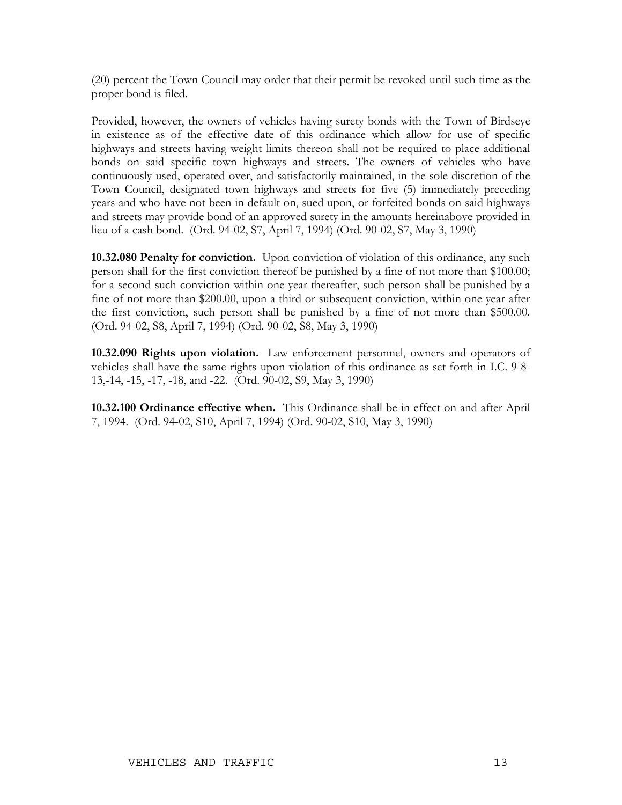(20) percent the Town Council may order that their permit be revoked until such time as the proper bond is filed.

Provided, however, the owners of vehicles having surety bonds with the Town of Birdseye in existence as of the effective date of this ordinance which allow for use of specific highways and streets having weight limits thereon shall not be required to place additional bonds on said specific town highways and streets. The owners of vehicles who have continuously used, operated over, and satisfactorily maintained, in the sole discretion of the Town Council, designated town highways and streets for five (5) immediately preceding years and who have not been in default on, sued upon, or forfeited bonds on said highways and streets may provide bond of an approved surety in the amounts hereinabove provided in lieu of a cash bond. (Ord. 94-02, S7, April 7, 1994) (Ord. 90-02, S7, May 3, 1990)

**10.32.080 Penalty for conviction.** Upon conviction of violation of this ordinance, any such person shall for the first conviction thereof be punished by a fine of not more than \$100.00; for a second such conviction within one year thereafter, such person shall be punished by a fine of not more than \$200.00, upon a third or subsequent conviction, within one year after the first conviction, such person shall be punished by a fine of not more than \$500.00. (Ord. 94-02, S8, April 7, 1994) (Ord. 90-02, S8, May 3, 1990)

**10.32.090 Rights upon violation.** Law enforcement personnel, owners and operators of vehicles shall have the same rights upon violation of this ordinance as set forth in I.C. 9-8- 13,-14, -15, -17, -18, and -22. (Ord. 90-02, S9, May 3, 1990)

**10.32.100 Ordinance effective when.** This Ordinance shall be in effect on and after April 7, 1994. (Ord. 94-02, S10, April 7, 1994) (Ord. 90-02, S10, May 3, 1990)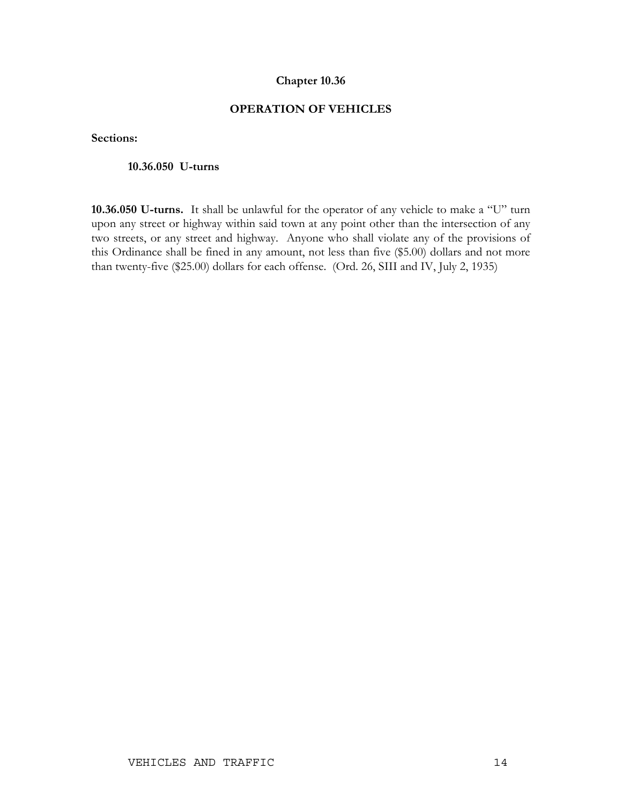# **OPERATION OF VEHICLES**

**Sections:** 

#### **10.36.050 U-turns**

**10.36.050 U-turns.** It shall be unlawful for the operator of any vehicle to make a "U" turn upon any street or highway within said town at any point other than the intersection of any two streets, or any street and highway. Anyone who shall violate any of the provisions of this Ordinance shall be fined in any amount, not less than five (\$5.00) dollars and not more than twenty-five (\$25.00) dollars for each offense. (Ord. 26, SIII and IV, July 2, 1935)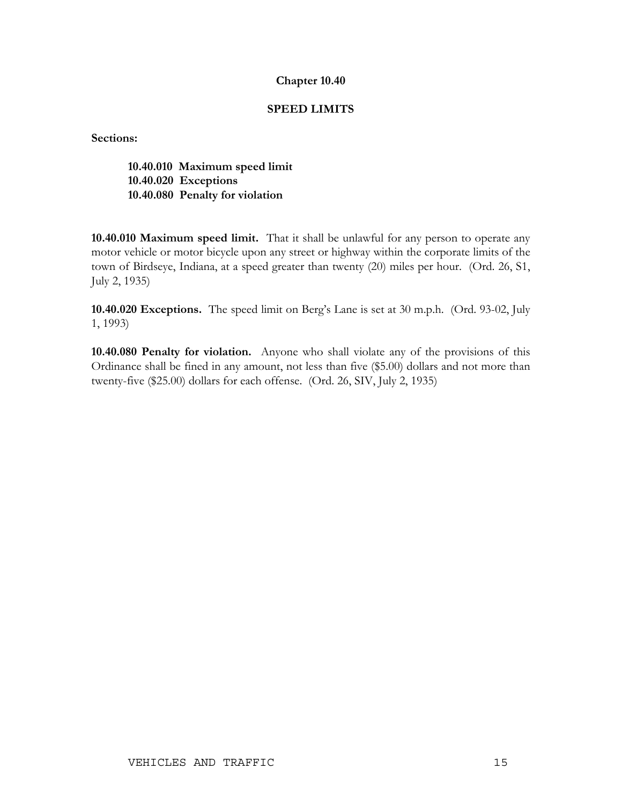### **SPEED LIMITS**

**Sections:** 

**10.40.010 Maximum speed limit 10.40.020 Exceptions 10.40.080 Penalty for violation** 

**10.40.010 Maximum speed limit.** That it shall be unlawful for any person to operate any motor vehicle or motor bicycle upon any street or highway within the corporate limits of the town of Birdseye, Indiana, at a speed greater than twenty (20) miles per hour. (Ord. 26, S1, July 2, 1935)

**10.40.020 Exceptions.** The speed limit on Berg's Lane is set at 30 m.p.h. (Ord. 93-02, July 1, 1993)

**10.40.080 Penalty for violation.** Anyone who shall violate any of the provisions of this Ordinance shall be fined in any amount, not less than five (\$5.00) dollars and not more than twenty-five (\$25.00) dollars for each offense. (Ord. 26, SIV, July 2, 1935)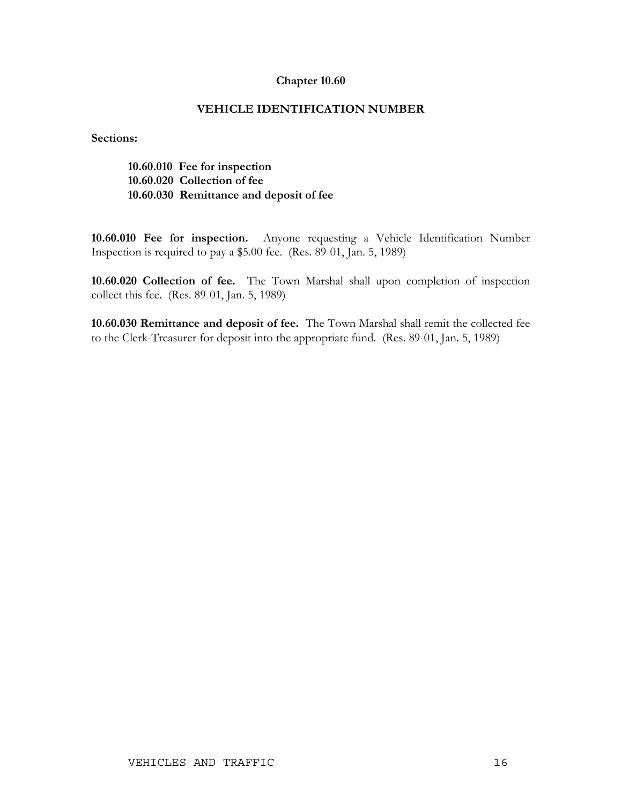## **VEHICLE IDENTIFICATION NUMBER**

**Sections:** 

**10.60.010 Fee for inspection 10.60.020 Collection of fee 10.60.030 Remittance and deposit of fee** 

**10.60.010 Fee for inspection.** Anyone requesting a Vehicle Identification Number Inspection is required to pay a \$5.00 fee. (Res. 89-01, Jan. 5, 1989)

**10.60.020 Collection of fee.** The Town Marshal shall upon completion of inspection collect this fee. (Res. 89-01, Jan. 5, 1989)

**10.60.030 Remittance and deposit of fee.** The Town Marshal shall remit the collected fee to the Clerk-Treasurer for deposit into the appropriate fund. (Res. 89-01, Jan. 5, 1989)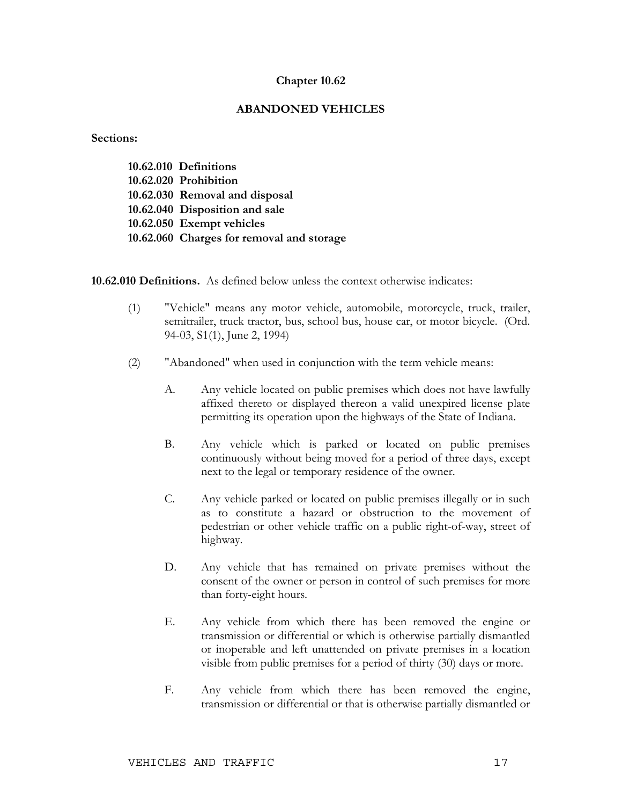# **ABANDONED VEHICLES**

#### **Sections:**

**10.62.010 Definitions 10.62.020 Prohibition 10.62.030 Removal and disposal 10.62.040 Disposition and sale 10.62.050 Exempt vehicles 10.62.060 Charges for removal and storage** 

**10.62.010 Definitions.** As defined below unless the context otherwise indicates:

- (1) "Vehicle" means any motor vehicle, automobile, motorcycle, truck, trailer, semitrailer, truck tractor, bus, school bus, house car, or motor bicycle. (Ord. 94-03, S1(1), June 2, 1994)
- (2) "Abandoned" when used in conjunction with the term vehicle means:
	- A. Any vehicle located on public premises which does not have lawfully affixed thereto or displayed thereon a valid unexpired license plate permitting its operation upon the highways of the State of Indiana.
	- B. Any vehicle which is parked or located on public premises continuously without being moved for a period of three days, except next to the legal or temporary residence of the owner.
	- C. Any vehicle parked or located on public premises illegally or in such as to constitute a hazard or obstruction to the movement of pedestrian or other vehicle traffic on a public right-of-way, street of highway.
	- D. Any vehicle that has remained on private premises without the consent of the owner or person in control of such premises for more than forty-eight hours.
	- E. Any vehicle from which there has been removed the engine or transmission or differential or which is otherwise partially dismantled or inoperable and left unattended on private premises in a location visible from public premises for a period of thirty (30) days or more.
	- F. Any vehicle from which there has been removed the engine, transmission or differential or that is otherwise partially dismantled or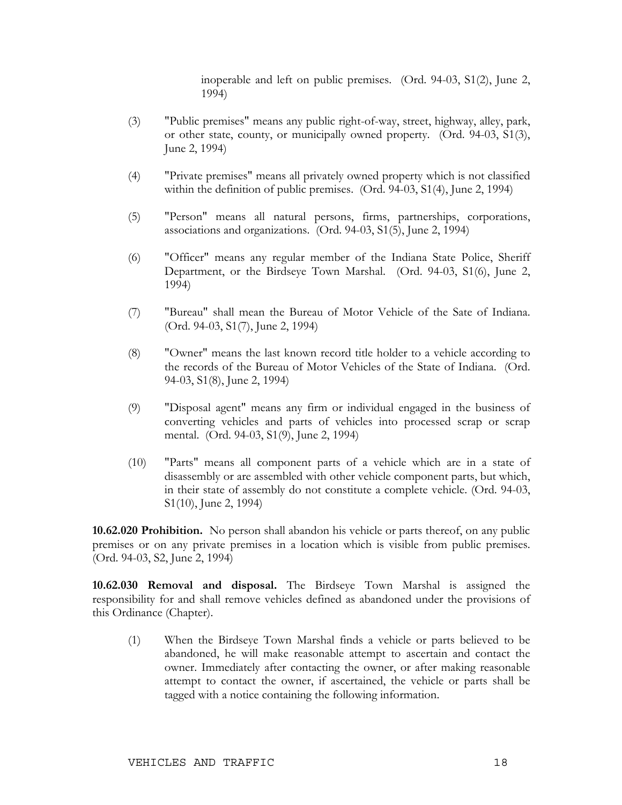inoperable and left on public premises. (Ord. 94-03, S1(2), June 2, 1994)

- (3) "Public premises" means any public right-of-way, street, highway, alley, park, or other state, county, or municipally owned property. (Ord. 94-03, S1(3), June 2, 1994)
- (4) "Private premises" means all privately owned property which is not classified within the definition of public premises. (Ord. 94-03, S1(4), June 2, 1994)
- (5) "Person" means all natural persons, firms, partnerships, corporations, associations and organizations. (Ord. 94-03, S1(5), June 2, 1994)
- (6) "Officer" means any regular member of the Indiana State Police, Sheriff Department, or the Birdseye Town Marshal. (Ord. 94-03, S1(6), June 2, 1994)
- (7) "Bureau" shall mean the Bureau of Motor Vehicle of the Sate of Indiana. (Ord. 94-03, S1(7), June 2, 1994)
- (8) "Owner" means the last known record title holder to a vehicle according to the records of the Bureau of Motor Vehicles of the State of Indiana. (Ord. 94-03, S1(8), June 2, 1994)
- (9) "Disposal agent" means any firm or individual engaged in the business of converting vehicles and parts of vehicles into processed scrap or scrap mental. (Ord. 94-03, S1(9), June 2, 1994)
- (10) "Parts" means all component parts of a vehicle which are in a state of disassembly or are assembled with other vehicle component parts, but which, in their state of assembly do not constitute a complete vehicle. (Ord. 94-03, S1(10), June 2, 1994)

**10.62.020 Prohibition.** No person shall abandon his vehicle or parts thereof, on any public premises or on any private premises in a location which is visible from public premises. (Ord. 94-03, S2, June 2, 1994)

**10.62.030 Removal and disposal.** The Birdseye Town Marshal is assigned the responsibility for and shall remove vehicles defined as abandoned under the provisions of this Ordinance (Chapter).

(1) When the Birdseye Town Marshal finds a vehicle or parts believed to be abandoned, he will make reasonable attempt to ascertain and contact the owner. Immediately after contacting the owner, or after making reasonable attempt to contact the owner, if ascertained, the vehicle or parts shall be tagged with a notice containing the following information.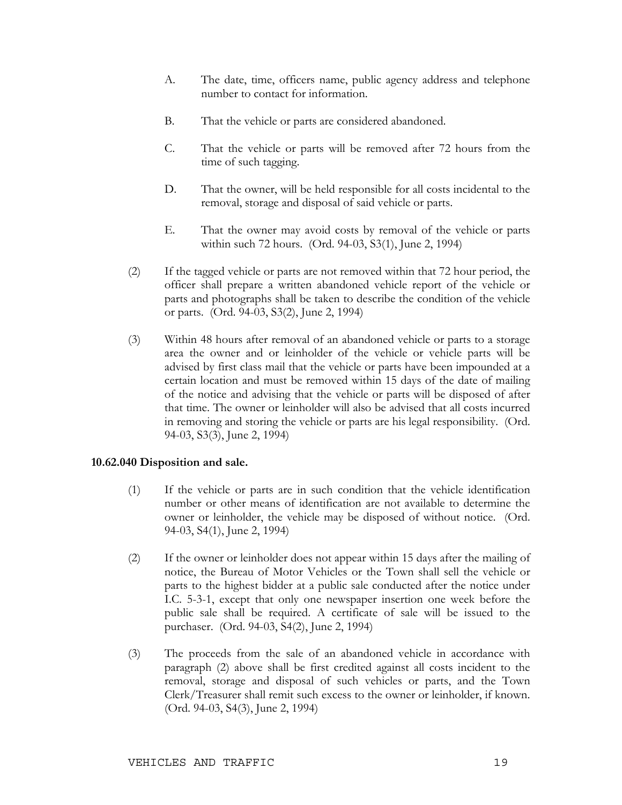- A. The date, time, officers name, public agency address and telephone number to contact for information.
- B. That the vehicle or parts are considered abandoned.
- C. That the vehicle or parts will be removed after 72 hours from the time of such tagging.
- D. That the owner, will be held responsible for all costs incidental to the removal, storage and disposal of said vehicle or parts.
- E. That the owner may avoid costs by removal of the vehicle or parts within such 72 hours. (Ord. 94-03, S3(1), June 2, 1994)
- (2) If the tagged vehicle or parts are not removed within that 72 hour period, the officer shall prepare a written abandoned vehicle report of the vehicle or parts and photographs shall be taken to describe the condition of the vehicle or parts. (Ord. 94-03, S3(2), June 2, 1994)
- (3) Within 48 hours after removal of an abandoned vehicle or parts to a storage area the owner and or leinholder of the vehicle or vehicle parts will be advised by first class mail that the vehicle or parts have been impounded at a certain location and must be removed within 15 days of the date of mailing of the notice and advising that the vehicle or parts will be disposed of after that time. The owner or leinholder will also be advised that all costs incurred in removing and storing the vehicle or parts are his legal responsibility. (Ord. 94-03, S3(3), June 2, 1994)

# **10.62.040 Disposition and sale.**

- (1) If the vehicle or parts are in such condition that the vehicle identification number or other means of identification are not available to determine the owner or leinholder, the vehicle may be disposed of without notice. (Ord. 94-03, S4(1), June 2, 1994)
- (2) If the owner or leinholder does not appear within 15 days after the mailing of notice, the Bureau of Motor Vehicles or the Town shall sell the vehicle or parts to the highest bidder at a public sale conducted after the notice under I.C. 5-3-1, except that only one newspaper insertion one week before the public sale shall be required. A certificate of sale will be issued to the purchaser. (Ord. 94-03, S4(2), June 2, 1994)
- (3) The proceeds from the sale of an abandoned vehicle in accordance with paragraph (2) above shall be first credited against all costs incident to the removal, storage and disposal of such vehicles or parts, and the Town Clerk/Treasurer shall remit such excess to the owner or leinholder, if known. (Ord. 94-03, S4(3), June 2, 1994)